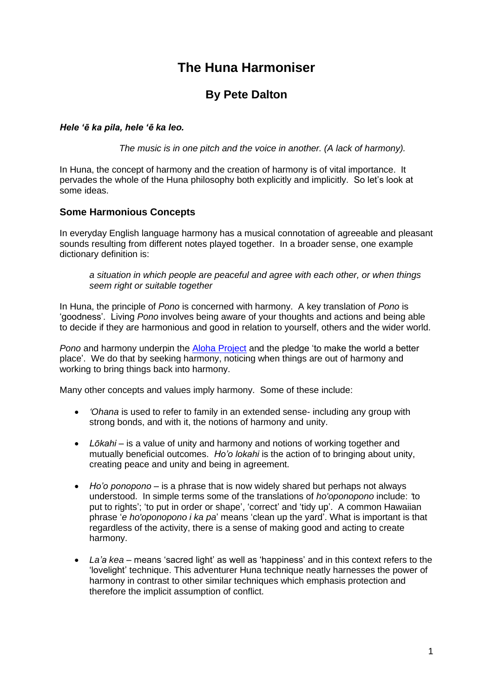# **The Huna Harmoniser**

# **By Pete Dalton**

#### *Hele 'ē ka pila, hele 'ē ka leo.*

*The music is in one pitch and the voice in another. (A lack of harmony).*

In Huna, the concept of harmony and the creation of harmony is of vital importance. It pervades the whole of the Huna philosophy both explicitly and implicitly. So let's look at some ideas.

### **Some Harmonious Concepts**

In everyday English language harmony has a musical connotation of agreeable and pleasant sounds resulting from different notes played together. In a broader sense, one example dictionary definition is:

*a situation in which people are peaceful and agree with each other, or when things seem right or suitable together*

In Huna, the principle of *Pono* is concerned with harmony. A key translation of *Pono* is 'goodness'. Living *Pono* involves being aware of your thoughts and actions and being able to decide if they are harmonious and good in relation to yourself, others and the wider world.

*Pono* and harmony underpin the [Aloha Project](https://www.huna.org/AlohaProject/) and the pledge 'to make the world a better place'. We do that by seeking harmony, noticing when things are out of harmony and working to bring things back into harmony.

Many other concepts and values imply harmony. Some of these include:

- *'Ohana* is used to refer to family in an extended sense- including any group with strong bonds, and with it, the notions of harmony and unity.
- *Lōkahi* is a value of unity and harmony and notions of working together and mutually beneficial outcomes. *Ho'o lokahi* is the action of to bringing about unity, creating peace and unity and being in agreement.
- *Ho'o ponopono* is a phrase that is now widely shared but perhaps not always understood. In simple terms some of the translations of *ho'oponopono* include: *'*to put to rights'; 'to put in order or shape', 'correct' and 'tidy up'. A common Hawaiian phrase '*e ho'oponopono i ka pa*' means 'clean up the yard'. What is important is that regardless of the activity, there is a sense of making good and acting to create harmony.
- *La'a kea* means 'sacred light' as well as 'happiness' and in this context refers to the 'lovelight' technique. This adventurer Huna technique neatly harnesses the power of harmony in contrast to other similar techniques which emphasis protection and therefore the implicit assumption of conflict.